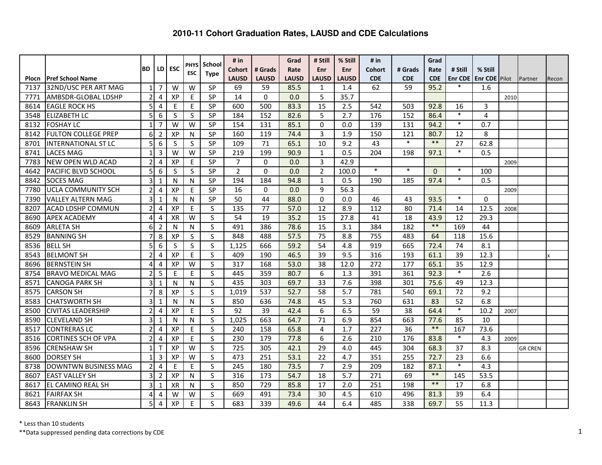|       |                            |                |                |            | PHYS         | School                  | # $in$         |              | Grad         | # Still        | % Still      | # $in$        |            | Grad       |                |                      |      |                |       |
|-------|----------------------------|----------------|----------------|------------|--------------|-------------------------|----------------|--------------|--------------|----------------|--------------|---------------|------------|------------|----------------|----------------------|------|----------------|-------|
|       |                            | BD             | LD             | <b>ESC</b> | <b>ESC</b>   | <b>Type</b>             | <b>Cohort</b>  | # Grads      | Rate         | Enr            | <b>Enr</b>   | <b>Cohort</b> | # Grads    | Rate       | # Still        | % Still              |      |                |       |
| Plocn | <b>Pref School Name</b>    |                |                |            |              |                         | <b>LAUSD</b>   | <b>LAUSD</b> | <b>LAUSD</b> | <b>LAUSD</b>   | <b>LAUSD</b> | <b>CDE</b>    | <b>CDE</b> | <b>CDE</b> | <b>Enr CDE</b> | <b>Enr CDE</b> Pilot |      | Partner        | Recon |
| 7137  | 32ND/USC PER ART MAG       | $\mathbf{1}$   | 7              | W          | W            | SP                      | 69             | 59           | 85.5         | $\mathbf{1}$   | 1.4          | 62            | 59         | 95.2       | $\ast$         | 1.6                  |      |                |       |
| 7771  | AMBSDR-GLOBAL LDSHP        | $\overline{2}$ | 4              | XP         | E            | SP                      | 14             | $\Omega$     | 0.0          | 5              | 35.7         |               |            |            |                |                      | 2010 |                |       |
| 8614  | <b>EAGLE ROCK HS</b>       | 5              | 4              | E          | E            | SP                      | 600            | 500          | 83.3         | 15             | 2.5          | 542           | 503        | 92.8       | 16             | 3                    |      |                |       |
| 3548  | <b>ELIZABETH LC</b>        | 5              | 6              | S          | S            | SP                      | 184            | 152          | 82.6         | 5              | 2.7          | 176           | 152        | 86.4       | $\ast$         | $\overline{4}$       |      |                |       |
| 8132  | <b>FOSHAY LC</b>           | $\mathbf{1}$   | 7              | W          | W            | SP                      | 154            | 131          | 85.1         | $\mathbf{0}$   | 0.0          | 139           | 131        | 94.2       | $*$            | 0.7                  |      |                |       |
| 8142  | <b>FULTON COLLEGE PREP</b> | 6              | $\overline{2}$ | XP         | $\mathsf{N}$ | SP                      | 160            | 119          | 74.4         | 3              | 1.9          | 150           | 121        | 80.7       | 12             | 8                    |      |                |       |
| 8701  | <b>INTERNATIONAL ST LC</b> | 5              | 6              | S          | S            | SP                      | 109            | 71           | 65.1         | 10             | 9.2          | 43            | $\ast$     | $***$      | 27             | 62.8                 |      |                |       |
| 8741  | <b>LACES MAG</b>           | $\mathbf{1}$   | 3              | W          | W            | SP                      | 219            | 199          | 90.9         | $\mathbf{1}$   | 0.5          | 204           | 198        | 97.1       | $\ast$         | 0.5                  |      |                |       |
| 7783  | <b>NEW OPEN WLD ACAD</b>   | $\overline{2}$ | 4              | XP         | $\sf E$      | SP                      | $\overline{7}$ | $\Omega$     | 0.0          | 3              | 42.9         |               |            |            |                |                      | 2009 |                |       |
| 4642  | <b>PACIFIC BLVD SCHOOL</b> | 5              | 6              | S          | S            | <b>SP</b>               | $\overline{2}$ | $\Omega$     | 0.0          | $\overline{2}$ | 100.0        | $\ast$        | $\ast$     | $\Omega$   | $\ast$         | 100                  |      |                |       |
| 8842  | <b>SOCES MAG</b>           | 3              | 1              | N          | $\mathsf{N}$ | SP                      | 194            | 184          | 94.8         | $\mathbf{1}$   | 0.5          | 190           | 185        | 97.4       | $\ast$         | 0.5                  |      |                |       |
| 7780  | <b>UCLA COMMUNITY SCH</b>  | $\overline{2}$ | 4              | XP         | E            | SP                      | 16             | $\Omega$     | 0.0          | 9              | 56.3         |               |            |            |                |                      | 2009 |                |       |
| 7390  | <b>VALLEY ALTERN MAG</b>   | 3              | $\mathbf{1}$   | N          | N            | <b>SP</b>               | 50             | 44           | 88.0         | $\Omega$       | 0.0          | 46            | 43         | 93.5       | $\ast$         | $\Omega$             |      |                |       |
| 8207  | <b>ACAD LDSHP COMMUN</b>   | $\overline{2}$ | 4              | XP         | E            | S                       | 135            | 77           | 57.0         | 12             | 8.9          | 112           | 80         | 71.4       | 14             | 12.5                 | 2008 |                |       |
| 8690  | <b>APEX ACADEMY</b>        | 4              | 4              | <b>XR</b>  | W            | S                       | 54             | 19           | 35.2         | 15             | 27.8         | 41            | 18         | 43.9       | 12             | 29.3                 |      |                |       |
| 8609  | <b>ARLETA SH</b>           | 6              | $\overline{2}$ | N          | N            | S                       | 491            | 386          | 78.6         | 15             | 3.1          | 384           | 182        | $***$      | 169            | 44                   |      |                |       |
| 8529  | <b>BANNING SH</b>          | $\overline{7}$ | 8              | XP         | S            | S                       | 848            | 488          | 57.5         | 75             | 8.8          | 755           | 483        | 64         | 118            | 15.6                 |      |                |       |
| 8536  | <b>BELL SH</b>             | 5              | 6              | S          | <sub>S</sub> | $\mathsf{S}$            | 1,125          | 666          | 59.2         | 54             | 4.8          | 919           | 665        | 72.4       | 74             | 8.1                  |      |                |       |
| 8543  | <b>BELMONT SH</b>          | $\overline{2}$ | 4              | XP         | E            | S                       | 409            | 190          | 46.5         | 39             | 9.5          | 316           | 193        | 61.1       | 39             | 12.3                 |      |                |       |
| 8696  | <b>BERNSTEIN SH</b>        | 4              | 4              | XP         | W            | $\mathsf{S}$            | 317            | 168          | 53.0         | 38             | 12.0         | 272           | 177        | 65.1       | 35             | 12.9                 |      |                |       |
| 8754  | <b>BRAVO MEDICAL MAG</b>   | 2              | 5              | E          | E            | S                       | 445            | 359          | 80.7         | 6              | 1.3          | 391           | 361        | 92.3       | $\ast$         | 2.6                  |      |                |       |
| 8571  | <b>CANOGA PARK SH</b>      | 3              | $\mathbf{1}$   | N          | N            | S                       | 435            | 303          | 69.7         | 33             | 7.6          | 398           | 301        | 75.6       | 49             | 12.3                 |      |                |       |
| 8575  | <b>CARSON SH</b>           | 7              | 8              | XP         | S            | S                       | 1,019          | 537          | 52.7         | 58             | 5.7          | 781           | 540        | 69.1       | 72             | 9.2                  |      |                |       |
| 8583  | <b>CHATSWORTH SH</b>       | 3              | $\mathbf{1}$   | N          | N            | S                       | 850            | 636          | 74.8         | 45             | 5.3          | 760           | 631        | 83         | 52             | 6.8                  |      |                |       |
| 8500  | <b>CIVITAS LEADERSHIP</b>  | $\overline{2}$ | 4              | XP         | E            | S                       | 92             | 39           | 42.4         | 6              | 6.5          | 59            | 38         | 64.4       | $\ast$         | 10.2                 | 2007 |                |       |
| 8590  | <b>CLEVELAND SH</b>        | 3              | $\mathbf{1}$   | N          | N            | S                       | 1,025          | 663          | 64.7         | 71             | 6.9          | 854           | 663        | 77.6       | 85             | 10                   |      |                |       |
| 8517  | <b>CONTRERAS LC</b>        | $\overline{2}$ | $\overline{4}$ | XP         | $\mathsf E$  | $\mathsf S$             | 240            | 158          | 65.8         | 4              | 1.7          | 227           | 36         | $***$      | 167            | 73.6                 |      |                |       |
| 8516  | <b>CORTINES SCH OF VPA</b> | $\overline{2}$ | $\overline{4}$ | XP         | E            | S                       | 230            | 179          | 77.8         | 6              | 2.6          | 210           | 176        | 83.8       | $\ast$         | 4.3                  | 2009 |                |       |
| 8596  | <b>CRENSHAW SH</b>         | 1              | т              | XP         | W            | S                       | 725            | 305          | 42.1         | 29             | 4.0          | 445           | 304        | 68.3       | 37             | 8.3                  |      | <b>GR CREN</b> |       |
| 8600  | <b>DORSEY SH</b>           | $\mathbf{1}$   | 3              | XP         | W            | S                       | 473            | 251          | 53.1         | 22             | 4.7          | 351           | 255        | 72.7       | 23             | 6.6                  |      |                |       |
| 8738  | DOWNTWN BUSINESS MAG       | $\overline{2}$ | 4              | E          | E            | $\overline{\mathsf{S}}$ | 245            | 180          | 73.5         | $\overline{7}$ | 2.9          | 209           | 182        | 87.1       | $\ast$         | 4.3                  |      |                |       |
| 8607  | <b>EAST VALLEY SH</b>      | 3              | $\overline{2}$ | XP         | N            | S                       | 316            | 173          | 54.7         | 18             | 5.7          | 271           | 69         | $***$      | 145            | 53.5                 |      |                |       |
| 8617  | <b>EL CAMINO REAL SH</b>   | 3              | $\mathbf 1$    | <b>XR</b>  | N            | S                       | 850            | 729          | 85.8         | 17             | 2.0          | 251           | 198        | $***$      | 17             | 6.8                  |      |                |       |
| 8621  | <b>FAIRFAX SH</b>          | 4              | 4              | W          | W            | S                       | 669            | 491          | 73.4         | 30             | 4.5          | 610           | 496        | 81.3       | 39             | 6.4                  |      |                |       |
| 8643  | <b>FRANKLIN SH</b>         | 5              | 4              | XP         | E            | S                       | 683            | 339          | 49.6         | 44             | 6.4          | 485           | 338        | 69.7       | 55             | 11.3                 |      |                |       |

\* Less than 10 students

 \*\*Data suppressed pending data corrections by CDE $\epsilon$  and  $\epsilon$  and  $\epsilon$  and  $\epsilon$  and  $\epsilon$  and  $\epsilon$  and  $\epsilon$  and  $\epsilon$  and  $\epsilon$  and  $\epsilon$  and  $\epsilon$  and  $\epsilon$  and  $\epsilon$  and  $\epsilon$  and  $\epsilon$  and  $\epsilon$  and  $\epsilon$  and  $\epsilon$  and  $\epsilon$  and  $\epsilon$  and  $\epsilon$  and  $\epsilon$  and  $\epsilon$  and  $\epsilon$  and  $\epsilon$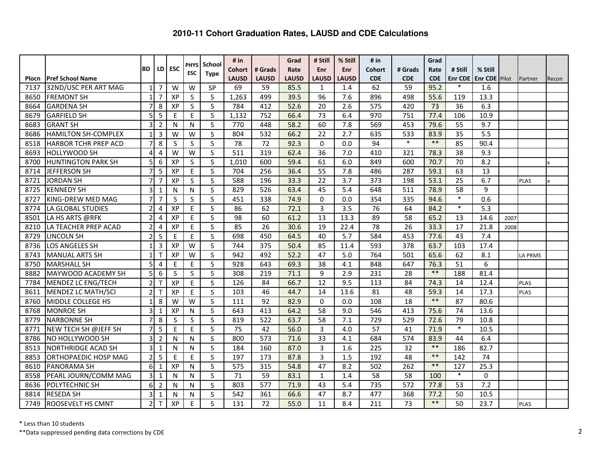|              |                             |                |                |     | <b>PHYS</b>  | School                  | # in             |                 | Grad         | # Still         | % Still          | # $in$           |                 | Grad       |                 |                      |      |                |       |
|--------------|-----------------------------|----------------|----------------|-----|--------------|-------------------------|------------------|-----------------|--------------|-----------------|------------------|------------------|-----------------|------------|-----------------|----------------------|------|----------------|-------|
|              |                             | BD             | LD             | ESC | <b>ESC</b>   | <b>Type</b>             | <b>Cohort</b>    | # Grads         | Rate         | Enr             | <b>Enr</b>       | <b>Cohort</b>    | # Grads         | Rate       | # Still         | % Still              |      |                |       |
| <b>Plocn</b> | <b>Pref School Name</b>     |                |                |     |              |                         | <b>LAUSD</b>     | <b>LAUSD</b>    | <b>LAUSD</b> | <b>LAUSD</b>    | <b>LAUSD</b>     | <b>CDE</b>       | <b>CDE</b>      | <b>CDE</b> | <b>Enr CDE</b>  | <b>Enr CDE Pilot</b> |      | Partner        | Recon |
| 7137         | 32ND/USC PER ART MAG        | $\mathbf{1}$   | 7              | W   | W            | SP                      | 69               | 59              | 85.5         | 1               | 1.4              | 62               | 59              | 95.2       | $\ast$          | 1.6                  |      |                |       |
| 8650         | <b>FREMONT SH</b>           | $\mathbf{1}$   | 7              | XP  | S            | S                       | 1,263            | 499             | 39.5         | 96              | 7.6              | 896              | 498             | 55.6       | 119             | 13.3                 |      |                |       |
| 8664         | <b>GARDENA SH</b>           | 7              | 8              | XP  | $\sf S$      | $\overline{\mathsf{S}}$ | 784              | 412             | 52.6         | 20              | 2.6              | 575              | 420             | 73         | 36              | 6.3                  |      |                |       |
| 8679         | <b>GARFIELD SH</b>          | 5              | 5              | E   | E            | S                       | 1,132            | 752             | 66.4         | 73              | 6.4              | 970              | 751             | 77.4       | 106             | 10.9                 |      |                |       |
| 8683         | <b>GRANT SH</b>             | 3              | $\overline{2}$ | N   | N            | S                       | 770              | 448             | 58.2         | 60              | 7.8              | 569              | 453             | 79.6       | $\overline{55}$ | $\overline{9.7}$     |      |                |       |
| 8686         | <b>HAMILTON SH-COMPLEX</b>  | 1              | 3              | W   | W            | $\mathsf S$             | 804              | 532             | 66.2         | 22              | 2.7              | 635              | 533             | 83.9       | 35              | 5.5                  |      |                |       |
| 8518         | IHARBOR TCHR PREP ACD       | $\overline{7}$ | 8              | S   | $\sf S$      | $\sf S$                 | 78               | 72              | 92.3         | $\mathbf 0$     | 0.0              | 94               | $\ast$          | $***$      | 85              | 90.4                 |      |                |       |
| 8693         | <b>HOLLYWOOD SH</b>         | 4              | 4              | W   | W            | $\mathsf{S}$            | 511              | 319             | 62.4         | 36              | 7.0              | 410              | 321             | 78.3       | $\overline{38}$ | 9.3                  |      |                |       |
| 8700         | <b>HUNTINGTON PARK SH</b>   | 5              | 6              | XP  | $\mathsf S$  | $\mathsf S$             | 1,010            | 600             | 59.4         | 61              | 6.0              | 849              | 600             | 70.7       | 70              | 8.2                  |      |                |       |
| 8714         | <b>JEFFERSON SH</b>         | $\overline{7}$ | 5              | XP  | $\mathsf E$  | S                       | 704              | 256             | 36.4         | 55              | 7.8              | 486              | 287             | 59.1       | 63              | 13                   |      |                |       |
| 8721         | <b>JORDAN SH</b>            | $\overline{7}$ | $\overline{7}$ | XP  | S            | S                       | 588              | 196             | 33.3         | $\overline{22}$ | $\overline{3.7}$ | 373              | 198             | 53.1       | $\overline{25}$ | 6.7                  |      | <b>PLAS</b>    |       |
| 8725         | <b>KENNEDY SH</b>           | 3              | 1              | N   | ${\sf N}$    | S                       | 829              | 526             | 63.4         | 45              | 5.4              | 648              | 511             | 78.9       | 58              | 9                    |      |                |       |
| 8727         | KING-DREW MED MAG           | $\overline{7}$ | $\overline{7}$ | S   | S            | S                       | 451              | 338             | 74.9         | $\Omega$        | 0.0              | 354              | 335             | 94.6       | $\ast$          | 0.6                  |      |                |       |
| 8774         | LA GLOBAL STUDIES           | $\overline{2}$ | 4              | XP  | E            | S                       | 86               | 62              | 72.1         | $\overline{3}$  | 3.5              | 76               | 64              | 84.2       | $\ast$          | 5.3                  |      |                |       |
| 8501         | LA HS ARTS @RFK             | 2              | 4              | XP  | E            | S                       | 98               | 60              | 61.2         | 13              | 13.3             | 89               | 58              | 65.2       | 13              | 14.6                 | 2007 |                |       |
| 8210         | LA TEACHER PREP ACAD        | $\overline{2}$ | 4              | XP  | E            | S                       | 85               | $\overline{26}$ | 30.6         | 19              | 22.4             | $\overline{78}$  | 26              | 33.3       | 17              | 21.8                 | 2008 |                |       |
| 8729         | <b>LINCOLN SH</b>           | $\overline{2}$ | 5              | E   | E            | S                       | 698              | 450             | 64.5         | 40              | 5.7              | 584              | 453             | 77.6       | 43              | 7.4                  |      |                |       |
| 8736         | LOS ANGELES SH              | $\mathbf{1}$   | 3              | XP  | W            | S                       | 744              | 375             | 50.4         | 85              | 11.4             | 593              | 378             | 63.7       | 103             | 17.4                 |      |                |       |
| 8743         | <b>MANUAL ARTS SH</b>       | $\mathbf{1}$   | т              | XP  | W            | S                       | 942              | 492             | 52.2         | 47              | 5.0              | 764              | 501             | 65.6       | 62              | 8.1                  |      | <b>LA PRMS</b> |       |
| 8750         | <b>MARSHALL SH</b>          | 5              | 4              | E   | E            | S                       | 928              | 643             | 69.3         | 38              | 4.1              | 848              | 647             | 76.3       | 51              | 6                    |      |                |       |
| 8882         | MAYWOOD ACADEMY SH          | 5              | 6              | S   | S            | $\mathsf{S}$            | 308              | 219             | 71.1         | 9               | 2.9              | 231              | 28              | $***$      | 188             | 81.4                 |      |                |       |
| 7784         | MENDEZ LC ENG/TECH          | $\overline{2}$ | т              | XP  | E            | $\mathsf{S}$            | $\frac{126}{ }$  | $\overline{84}$ | 66.7         | $\overline{12}$ | 9.5              | $\frac{113}{x}$  | $\overline{84}$ | 74.3       | 14              | 12.4                 |      | <b>PLAS</b>    |       |
| 8611         | MENDEZ LC MATH/SCI          | 2              | т              | XP  | E            | S                       | 103              | 46              | 44.7         | 14              | 13.6             | 81               | 48              | 59.3       | 14              | 17.3                 |      | PLAS           |       |
| 8760         | MIDDLE COLLEGE HS           | $\mathbf{1}$   | 8              | W   | W            | $\mathsf{S}$            | 111              | 92              | 82.9         | $\Omega$        | 0.0              | 108              | 18              | $***$      | 87              | 80.6                 |      |                |       |
| 8768         | <b>MONROE SH</b>            | 3              | $\mathbf{1}$   | XP  | $\mathsf{N}$ | $\overline{\mathsf{S}}$ | $\overline{643}$ | 413             | 64.2         | $\overline{58}$ | 9.0              | $\overline{546}$ | 413             | 75.6       | $\overline{74}$ | 13.6                 |      |                |       |
| 8779         | <b>NARBONNE SH</b>          | $\overline{7}$ | 8              | S   | S            | S                       | 819              | 522             | 63.7         | 58              | 7.1              | 729              | 529             | 72.6       | 79              | 10.8                 |      |                |       |
| 8771         | NEW TECH SH @JEFF SH        | $\overline{7}$ | 5              | E   | E            | S                       | 75               | 42              | 56.0         | 3               | 4.0              | $\overline{57}$  | 41              | 71.9       | $\ast$          | 10.5                 |      |                |       |
| 8786         | <b>NO HOLLYWOOD SH</b>      | 3              | $\overline{2}$ | N   | $\mathsf{N}$ | S                       | 800              | 573             | 71.6         | 33              | 4.1              | 684              | 574             | 83.9       | 44              | 6.4                  |      |                |       |
| 8513         | <b>NORTHRIDGE ACAD SH</b>   | 3              | 1              | N   | $\mathsf{N}$ | S                       | 184              | 160             | 87.0         | $\overline{3}$  | 1.6              | 225              | 32              | $\ast\ast$ | 186             | 82.7                 |      |                |       |
| 8853         | <b>ORTHOPAEDIC HOSP MAG</b> | $\overline{2}$ | 5              | E   | E            | $\mathsf{S}$            | 197              | 173             | 87.8         | $\overline{3}$  | 1.5              | 192              | 48              | $**$       | 142             | 74                   |      |                |       |
| 8610         | <b>PANORAMA SH</b>          | 6              | 1              | XP  | $\mathsf{N}$ | S                       | 575              | 315             | 54.8         | 47              | 8.2              | 502              | 262             | $***$      | 127             | 25.3                 |      |                |       |
| 8558         | PEARL JOURN/COMM MAG        | 3              | 1              | N   | $\mathsf{N}$ | S                       | 71               | 59              | 83.1         | $\mathbf{1}$    | 1.4              | 58               | 58              | 100        | $\ast$          | $\mathbf 0$          |      |                |       |
| 8636         | POLYTECHNIC SH              | 6              | $\overline{2}$ | N   | N            | S                       | 803              | 577             | 71.9         | 43              | 5.4              | 735              | 572             | 77.8       | 53              | 7.2                  |      |                |       |
| 8814         | <b>RESEDA SH</b>            | 3              | $\mathbf{1}$   | N   | N            | S                       | 542              | 361             | 66.6         | 47              | 8.7              | 477              | 368             | 77.2       | 50              | 10.5                 |      |                |       |
| 7749         | <b>ROOSEVELT HS CMNT</b>    | $\overline{2}$ | Τ              | XP  | E            | S                       | 131              | 72              | 55.0         | 11              | 8.4              | 211              | 73              | $***$      | 50              | 23.7                 |      | <b>PLAS</b>    |       |

\* Less than 10 students

 \*\*Data suppressed pending data corrections by CDE $\epsilon$  2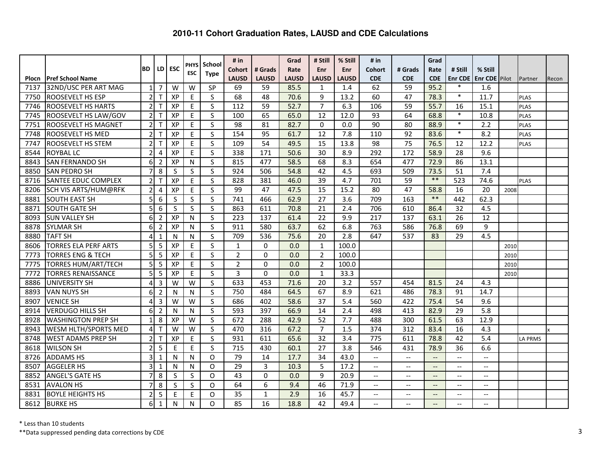|       |                              |                |                |            | <b>PHYS</b> | School                  | # in             |              | Grad         | # Still        | % Still      | # in                                  |                          | Grad                     |                          |                          |      |                |       |
|-------|------------------------------|----------------|----------------|------------|-------------|-------------------------|------------------|--------------|--------------|----------------|--------------|---------------------------------------|--------------------------|--------------------------|--------------------------|--------------------------|------|----------------|-------|
|       |                              | IBD.           | <b>LD</b>      | <b>ESC</b> | <b>ESC</b>  | <b>Type</b>             | <b>Cohort</b>    | # Grads      | Rate         | Enr            | Enr          | Cohort                                | # Grads                  | Rate                     | # Still                  | % Still                  |      |                |       |
| Plocn | <b>Pref School Name</b>      |                |                |            |             |                         | <b>LAUSD</b>     | <b>LAUSD</b> | <b>LAUSD</b> | <b>LAUSD</b>   | <b>LAUSD</b> | <b>CDE</b>                            | <b>CDE</b>               | <b>CDE</b>               | <b>Enr CDE</b><br>$\ast$ | <b>Enr CDE</b> Pilot     |      | Partner        | Recon |
| 7137  | 32ND/USC PER ART MAG         | $\mathbf{1}$   | $\overline{7}$ | W          | W           | SP                      | 69               | 59           | 85.5         | $\mathbf{1}$   | 1.4          | 62                                    | 59                       | 95.2                     | $\ast$                   | 1.6                      |      |                |       |
| 7750  | <b>ROOSEVELT HS ESP</b>      | $\overline{2}$ | T              | XP         | $\mathsf E$ | S                       | 68               | 48           | 70.6         | 9              | 13.2         | 60                                    | 47                       | 78.3                     |                          | 11.7                     |      | <b>PLAS</b>    |       |
| 7746  | <b>ROOSEVELT HS HARTS</b>    | $\overline{2}$ | т              | XP         | $\mathsf E$ | $\overline{\mathsf{S}}$ | 112              | 59           | 52.7         | $\overline{7}$ | 6.3          | 106                                   | 59                       | 55.7                     | 16<br>$\ast$             | 15.1                     |      | PLAS           |       |
| 7745  | <b>ROOSEVELT HS LAW/GOV</b>  | 2              | T              | XP         | E           | S                       | 100              | 65           | 65.0         | 12             | 12.0         | 93                                    | 64                       | 68.8                     | $\ast$                   | 10.8                     |      | <b>PLAS</b>    |       |
| 7751  | <b>ROOSEVELT HS MAGNET</b>   | $\overline{2}$ | $\mathsf{T}$   | XP         | $\mathsf E$ | S                       | 98               | 81           | 82.7         | $\Omega$       | 0.0          | $\overline{90}$                       | 80                       | 88.9                     | $\ast$                   | $\overline{2.2}$         |      | <b>PLAS</b>    |       |
| 7748  | <b>ROOSEVELT HS MED</b>      | $\overline{2}$ | т              | XP         | E           | $\overline{\mathsf{S}}$ | 154              | 95           | 61.7         | 12             | 7.8          | 110                                   | 92                       | 83.6                     |                          | 8.2                      |      | <b>PLAS</b>    |       |
| 7747  | <b>ROOSEVELT HS STEM</b>     | $\overline{2}$ | T              | XP         | $\sf E$     | S                       | 109              | 54           | 49.5         | 15             | 13.8         | 98                                    | 75                       | 76.5                     | 12                       | 12.2                     |      | <b>PLAS</b>    |       |
| 8544  | <b>ROYBAL LC</b>             | $\overline{2}$ | $\overline{4}$ | XP         | E           | S                       | 338              | 171          | 50.6         | 30             | 8.9          | 292                                   | $\overline{172}$         | 58.9                     | $\overline{28}$          | 9.6                      |      |                |       |
| 8843  | <b>SAN FERNANDO SH</b>       | 6              | $\overline{2}$ | XP         | ${\sf N}$   | $\mathsf S$             | 815              | 477          | 58.5         | 68             | 8.3          | 654                                   | 477                      | 72.9                     | 86                       | 13.1                     |      |                |       |
| 8850  | <b>SAN PEDRO SH</b>          | $\overline{7}$ | 8              | S          | S           | S                       | 924              | 506          | 54.8         | 42             | 4.5          | 693                                   | 509                      | 73.5                     | 51                       | 7.4                      |      |                |       |
| 8716  | <b>SANTEE EDUC COMPLEX</b>   | $\overline{2}$ | T              | XP         | E           | S                       | 828              | 381          | 46.0         | 39             | 4.7          | 701                                   | 59                       | $**$                     | $\overline{523}$         | 74.6                     |      | <b>PLAS</b>    |       |
| 8206  | <b>SCH VIS ARTS/HUM@RFK</b>  | $\overline{2}$ | 4              | XP         | E           | S                       | 99               | 47           | 47.5         | 15             | 15.2         | 80                                    | 47                       | 58.8                     | 16                       | 20                       | 2008 |                |       |
| 8881  | <b>SOUTH EAST SH</b>         | 5              | 6              | S          | S           | S                       | $\overline{741}$ | 466          | 62.9         | 27             | 3.6          | 709                                   | 163                      | $**$                     | 442                      | 62.3                     |      |                |       |
| 8871  | <b>SOUTH GATE SH</b>         | 5              | 6              | S          | S           | $\sf S$                 | 863              | 611          | 70.8         | 21             | 2.4          | 706                                   | 610                      | 86.4                     | 32                       | 4.5                      |      |                |       |
| 8093  | <b>SUN VALLEY SH</b>         | 6              | $\overline{2}$ | XP         | ${\sf N}$   | S                       | 223              | 137          | 61.4         | 22             | 9.9          | 217                                   | 137                      | 63.1                     | 26                       | 12                       |      |                |       |
| 8878  | <b>SYLMAR SH</b>             | 6              | $\overline{2}$ | XP         | N           | S                       | 911              | 580          | 63.7         | 62             | 6.8          | 763                                   | 586                      | 76.8                     | 69                       | 9                        |      |                |       |
| 8880  | <b>TAFT SH</b>               | 4              | $\mathbf{1}$   | N          | N           | S                       | 709              | 536          | 75.6         | 20             | 2.8          | 647                                   | 537                      | 83                       | 29                       | 4.5                      |      |                |       |
| 8606  | <b>TORRES ELA PERF ARTS</b>  | 5              | 5              | XP         | E           | $\mathsf{S}$            | 1                | $\Omega$     | 0.0          | $\mathbf{1}$   | 100.0        |                                       |                          |                          |                          |                          | 2010 |                |       |
| 7773  | <b>TORRES ENG &amp; TECH</b> | 5              | 5              | XP         | $\mathsf E$ | $\mathsf{S}$            | $\overline{2}$   | $\Omega$     | 0.0          | $\overline{2}$ | 100.0        |                                       |                          |                          |                          |                          | 2010 |                |       |
| 7775  | <b>TORRES HUM/ART/TECH</b>   | 5              | 5              | XP         | E           | S                       | $\overline{2}$   | $\Omega$     | 0.0          | $\overline{2}$ | 100.0        |                                       |                          |                          |                          |                          | 2010 |                |       |
| 7772  | <b>TORRES RENAISSANCE</b>    | 5              | 5              | XP         | $\mathsf E$ | S                       | 3                | $\Omega$     | 0.0          | $\mathbf{1}$   | 33.3         |                                       |                          |                          |                          |                          | 2010 |                |       |
| 8886  | <b>UNIVERSITY SH</b>         | 4              | 3              | W          | W           | S                       | $\overline{633}$ | 453          | 71.6         | 20             | 3.2          | 557                                   | 454                      | 81.5                     | 24                       | 4.3                      |      |                |       |
| 8893  | <b>VAN NUYS SH</b>           | 6              | $\overline{2}$ | N          | N           | S                       | 750              | 484          | 64.5         | 67             | 8.9          | 621                                   | 486                      | 78.3                     | 91                       | 14.7                     |      |                |       |
| 8907  | <b>VENICE SH</b>             | 4              | 3              | W          | W           | S                       | 686              | 402          | 58.6         | 37             | 5.4          | 560                                   | 422                      | 75.4                     | 54                       | 9.6                      |      |                |       |
| 8914  | <b>VERDUGO HILLS SH</b>      | 6              | $\overline{2}$ | N          | N           | S                       | 593              | 397          | 66.9         | 14             | 2.4          | 498                                   | 413                      | 82.9                     | 29                       | 5.8                      |      |                |       |
| 8928  | <b>WASHINGTON PREP SH</b>    | $\mathbf{1}$   | 8              | XP         | W           | $\mathsf S$             | 672              | 288          | 42.9         | 52             | 7.7          | 488                                   | 300                      | 61.5                     | 63                       | 12.9                     |      |                |       |
| 8943  | WESM HLTH/SPORTS MED         | 4              | T              | W          | W           | S                       | 470              | 316          | 67.2         | $\overline{7}$ | 1.5          | $\overline{374}$                      | 312                      | 83.4                     | 16                       | 4.3                      |      |                |       |
| 8748  | <b>WEST ADAMS PREP SH</b>    | $\overline{2}$ | $\mathsf T$    | XP         | $\sf E$     | $\overline{\mathsf{S}}$ | 931              | 611          | 65.6         | 32             | 3.4          | 775                                   | 611                      | 78.8                     | 42                       | 5.4                      |      | <b>LA PRMS</b> |       |
| 8618  | <b>WILSON SH</b>             | $\overline{2}$ | 5              | E          | E           | S                       | 715              | 430          | 60.1         | 27             | 3.8          | 546                                   | 431                      | 78.9                     | 36                       | 6.6                      |      |                |       |
| 8726  | <b>ADDAMS HS</b>             | 3              | $\mathbf{1}$   | N          | N           | O                       | 79               | 14           | 17.7         | 34             | 43.0         | $\overline{a}$                        | $\overline{\phantom{a}}$ | $\overline{\phantom{0}}$ | $\overline{\phantom{a}}$ | $\overline{\phantom{a}}$ |      |                |       |
| 8507  | <b>AGGELER HS</b>            | 3              | $\mathbf{1}$   | N          | N           | $\Omega$                | 29               | 3            | 10.3         | 5              | 17.2         | $\overline{\phantom{a}}$              | $\overline{\phantom{a}}$ | $\overline{\phantom{a}}$ | $\overline{\phantom{a}}$ | $\overline{a}$           |      |                |       |
| 8852  | <b>ANGEL'S GATE HS</b>       | 7              | 8              | S          | S           | $\Omega$                | 43               | $\Omega$     | 0.0          | 9              | 20.9         | $\overline{a}$                        | $\overline{\phantom{a}}$ | $\overline{\phantom{a}}$ | $\overline{\phantom{a}}$ | $\overline{\phantom{a}}$ |      |                |       |
| 8531  | <b>AVALON HS</b>             | 7              | 8              | S          | S           | $\Omega$                | 64               | 6            | 9.4          | 46             | 71.9         | $\overline{\phantom{a}}$              | $\overline{\phantom{a}}$ | $\overline{\phantom{a}}$ | $\overline{\phantom{a}}$ | $\overline{\phantom{a}}$ |      |                |       |
| 8831  | <b>BOYLE HEIGHTS HS</b>      | 2              | 5              | Ε          | E           | $\circ$                 | 35               | $\mathbf{1}$ | 2.9          | 16             | 45.7         | $\hspace{0.05cm}$ – $\hspace{0.05cm}$ | $\overline{\phantom{m}}$ | $\overline{\phantom{a}}$ | $\hspace{0.05cm} \ldots$ | $\overline{\phantom{a}}$ |      |                |       |
| 8612  | <b>BURKE HS</b>              | 6              | $\mathbf{1}$   | N          | N           | O                       | 85               | 16           | 18.8         | 42             | 49.4         | $\overline{\phantom{a}}$              | $-$                      |                          | $\overline{\phantom{a}}$ | $-$                      |      |                |       |

\* Less than 10 students

 \*\*Data suppressed pending data corrections by CDE $\mathsf{E}$  3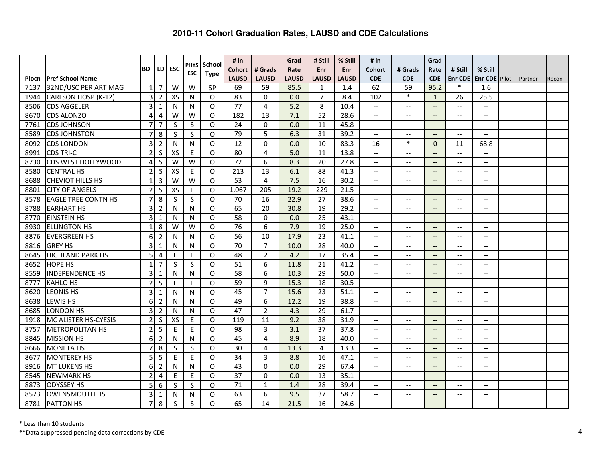|               |                                                 |                |                |     | <b>PHYS</b> | School<br><b>Type</b> | # in                   |                         | Grad                 | # Still           | % Still             | # $in$                                              |                                                     | Grad                                                |                                                     |                                 |         |       |
|---------------|-------------------------------------------------|----------------|----------------|-----|-------------|-----------------------|------------------------|-------------------------|----------------------|-------------------|---------------------|-----------------------------------------------------|-----------------------------------------------------|-----------------------------------------------------|-----------------------------------------------------|---------------------------------|---------|-------|
|               |                                                 | <b>BD</b>      | LD             | ESC | <b>ESC</b>  |                       | Cohort<br><b>LAUSD</b> | # Grads                 | Rate<br><b>LAUSD</b> | Enr               | <b>Enr</b>          | Cohort<br><b>CDE</b>                                | # Grads<br><b>CDE</b>                               | Rate<br><b>CDE</b>                                  | # Still                                             | % Still<br><b>Enr CDE</b> Pilot |         |       |
| Plocn<br>7137 | <b>Pref School Name</b><br>32ND/USC PER ART MAG | $\mathbf{1}$   | 7              | W   | W           | SP                    | 69                     | <b>LAUSD</b><br>59      | 85.5                 | <b>LAUSD</b><br>1 | <b>LAUSD</b><br>1.4 | 62                                                  | 59                                                  | 95.2                                                | <b>Enr CDE</b><br>$\ast$                            | 1.6                             | Partner | Recon |
| 1944          | CARLSON HOSP (K-12)                             | 3              | 2              | XS  | N           | $\Omega$              | 83                     | $\Omega$                | 0.0                  | $\overline{7}$    | 8.4                 | 102                                                 | $\ast$                                              | $\mathbf{1}$                                        | 26                                                  | 25.5                            |         |       |
| 8506          | <b>CDS AGGELER</b>                              | 3              | $\mathbf{1}$   | N   | N           | $\Omega$              | 77                     | $\overline{4}$          | 5.2                  | 8                 | 10.4                | $\overline{\phantom{a}}$                            | $\overline{\phantom{a}}$                            | $\overline{\phantom{a}}$                            | $\overline{\phantom{a}}$                            | $-$                             |         |       |
| 8670          | <b>CDS ALONZO</b>                               | 4              | 4              | W   | W           | O                     | 182                    | 13                      | 7.1                  | 52                | 28.6                | $\hspace{0.05cm} -\hspace{0.05cm} -\hspace{0.05cm}$ | $\overline{\phantom{a}}$                            | $\overline{\phantom{a}}$                            | $\overline{\phantom{a}}$                            | $\overline{\phantom{a}}$        |         |       |
| 7761          | <b>CDS JOHNSON</b>                              | 7              | $\overline{7}$ | S   | $\sf S$     | $\Omega$              | 24                     | $\mathbf 0$             | 0.0                  | 11                | 45.8                |                                                     |                                                     |                                                     |                                                     |                                 |         |       |
| 8589          | <b>CDS JOHNSTON</b>                             | $\overline{7}$ | 8              | S   | $\sf S$     | O                     | 79                     | 5                       | 6.3                  | 31                | 39.2                | $\hspace{0.05cm} -\hspace{0.05cm} -\hspace{0.05cm}$ | $\overline{\phantom{m}}$                            | $\overline{\phantom{a}}$                            | $\hspace{0.05cm} -\hspace{0.05cm} -\hspace{0.05cm}$ | $\overline{\phantom{a}}$        |         |       |
| 8092          | <b>CDS LONDON</b>                               | 3              | $\overline{2}$ | N   | N           | $\Omega$              | 12                     | $\overline{0}$          | 0.0                  | 10                | 83.3                | 16                                                  | $\ast$                                              | $\Omega$                                            | 11                                                  | 68.8                            |         |       |
| 8991          | <b>CDS TRI-C</b>                                | $\overline{2}$ | S              | XS  | E           | $\Omega$              | 80                     | $\overline{4}$          | 5.0                  | 11                | 13.8                | $\overline{\phantom{a}}$                            | $-$                                                 | $\overline{\phantom{a}}$                            | $\overline{\phantom{a}}$                            | $\overline{\phantom{a}}$        |         |       |
| 8730          | <b>CDS WEST HOLLYWOOD</b>                       | 4              | $\sf S$        | W   | W           | O                     | 72                     | 6                       | 8.3                  | 20                | 27.8                | $\overline{\phantom{a}}$                            | $\overline{\phantom{a}}$                            | $\overline{\phantom{a}}$                            | $\overline{\phantom{a}}$                            | $-$                             |         |       |
| 8580          | <b>CENTRAL HS</b>                               | $\overline{2}$ | S              | XS  | E           | $\Omega$              | 213                    | 13                      | 6.1                  | 88                | 41.3                | --                                                  | $\overline{\phantom{m}}$                            | $\overline{\phantom{a}}$                            | $\overline{\phantom{a}}$                            | $-$                             |         |       |
| 8688          | <b>CHEVIOT HILLS HS</b>                         | $\mathbf{1}$   | 3              | W   | W           | $\Omega$              | 53                     | $\overline{4}$          | 7.5                  | 16                | 30.2                | $-$                                                 | $\overline{\phantom{m}}$                            | $\overline{\phantom{a}}$                            | $\qquad \qquad -$                                   | $-$                             |         |       |
| 8801          | <b>CITY OF ANGELS</b>                           | $\overline{2}$ | S              | XS  | E           | $\Omega$              | 1,067                  | 205                     | 19.2                 | 229               | 21.5                | $\overline{\phantom{a}}$                            | $\overline{\phantom{m}}$                            | $\overline{a}$                                      | $ -$                                                | $\overline{\phantom{a}}$        |         |       |
| 8578          | <b>EAGLE TREE CONTN HS</b>                      | $\overline{7}$ | 8              | S   | S           | $\Omega$              | 70                     | 16                      | 22.9                 | 27                | 38.6                | $\overline{\phantom{a}}$                            | $\overline{\phantom{a}}$                            | $\overline{\phantom{a}}$                            | $\overline{\phantom{a}}$                            | $-$                             |         |       |
| 8788          | <b>EARHART HS</b>                               | 3              | $\overline{2}$ | N   | N           | $\Omega$              | 65                     | 20                      | 30.8                 | 19                | 29.2                | $\overline{\phantom{a}}$                            | $\hspace{0.05cm} -\hspace{0.05cm} -\hspace{0.05cm}$ | $\hspace{0.05cm} -\hspace{0.05cm} -\hspace{0.05cm}$ | $\hspace{0.05cm} -\hspace{0.05cm} -\hspace{0.05cm}$ | $-$                             |         |       |
| 8770          | <b>EINSTEIN HS</b>                              | 3              | $\mathbf{1}$   | N   | N           | O                     | 58                     | $\mathbf 0$             | 0.0                  | 25                | 43.1                | $\hspace{0.05cm} -\hspace{0.05cm} -\hspace{0.05cm}$ | $\overline{\phantom{m}}$                            | $\overline{\phantom{a}}$                            | $\hspace{0.05cm} \ldots$                            | $\qquad \qquad -$               |         |       |
| 8930          | <b>ELLINGTON HS</b>                             | $\mathbf{1}$   | 8              | W   | W           | $\Omega$              | 76                     | 6                       | 7.9                  | 19                | 25.0                | $\hspace{0.05cm} -\hspace{0.05cm} -\hspace{0.05cm}$ | $\overline{\phantom{m}}$                            | $\overline{\phantom{a}}$                            | $\hspace{0.05cm} \ldots$                            | $\qquad \qquad -$               |         |       |
| 8876          | <b>EVERGREEN HS</b>                             | 6              | $\overline{2}$ | N   | N           | O                     | 56                     | 10                      | 17.9                 | 23                | 41.1                | $\overline{\phantom{a}}$                            | $\overline{\phantom{a}}$                            | $\overline{\phantom{a}}$                            | $\overline{\phantom{a}}$                            | $\overline{a}$                  |         |       |
| 8816          | <b>GREY HS</b>                                  | 3              | 1              | N   | N           | $\Omega$              | 70                     | $\overline{7}$          | 10.0                 | 28                | 40.0                | $\overline{\phantom{a}}$                            | $\overline{\phantom{a}}$                            | $\overline{\phantom{a}}$                            | $\overline{\phantom{a}}$                            | $\overline{a}$                  |         |       |
| 8645          | <b>HIGHLAND PARK HS</b>                         | 5              | 4              | E   | $\sf E$     | $\Omega$              | $\overline{48}$        | $\overline{2}$          | 4.2                  | 17                | 35.4                | --                                                  | $\qquad \qquad -$                                   |                                                     | $\overline{\phantom{a}}$                            | $-$                             |         |       |
| 8652          | <b>HOPE HS</b>                                  | $\mathbf{1}$   | 7              | S   | S           | $\Omega$              | 51                     | 6                       | 11.8                 | 21                | 41.2                | --                                                  | $-$                                                 |                                                     | $-$                                                 | $\overline{\phantom{a}}$        |         |       |
| 8559          | <b>INDEPENDENCE HS</b>                          | 3              | 1              | N   | N           | $\circ$               | 58                     | 6                       | 10.3                 | 29                | 50.0                | --                                                  | $-$                                                 | $\overline{\phantom{a}}$                            | $-$                                                 | $-$                             |         |       |
| 8777          | <b>KAHLO HS</b>                                 | $\overline{2}$ | 5              | E   | E           | $\Omega$              | 59                     | 9                       | 15.3                 | 18                | 30.5                | $\overline{\phantom{a}}$                            | $\overline{\phantom{a}}$                            | $\overline{\phantom{a}}$                            | $\overline{\phantom{a}}$                            | $\overline{a}$                  |         |       |
| 8620          | <b>LEONIS HS</b>                                | 3              | $\mathbf{1}$   | N   | N           | $\Omega$              | 45                     | $\overline{7}$          | 15.6                 | 23                | 51.1                | $\overline{\phantom{a}}$                            | $\overline{\phantom{a}}$                            | $\overline{\phantom{a}}$                            | $\overline{\phantom{a}}$                            | $\overline{\phantom{a}}$        |         |       |
| 8638          | <b>LEWIS HS</b>                                 | 6              | $\overline{2}$ | N   | N           | O                     | 49                     | 6                       | 12.2                 | 19                | 38.8                | $\hspace{0.05cm} -\hspace{0.05cm} -\hspace{0.05cm}$ | $\overline{\phantom{a}}$                            | $\overline{\phantom{a}}$                            | $\overline{\phantom{a}}$                            | $-$                             |         |       |
| 8685          | <b>LONDON HS</b>                                | 3              | $\overline{2}$ | N   | N           | $\Omega$              | 47                     | $\overline{2}$          | 4.3                  | 29                | 61.7                | $\hspace{0.05cm} \ldots$                            | $\overline{\phantom{a}}$                            | $\overline{\phantom{a}}$                            | $\overline{\phantom{a}}$                            | $\overline{\phantom{a}}$        |         |       |
| 1918          | IMC ALISTER HS-CYESIS                           | $\overline{2}$ | $\sf S$        | XS  | $\mathsf E$ | $\Omega$              | 119                    | 11                      | 9.2                  | 38                | 31.9                | $-$                                                 | $\overline{\phantom{m}}$                            | $\overline{\phantom{m}}$                            | $\hspace{0.05cm} \textbf{--}$                       | $\overline{\phantom{a}}$        |         |       |
| 8757          | <b>METROPOLITAN HS</b>                          | $\overline{2}$ | 5              | E   | E           | $\Omega$              | 98                     | $\overline{3}$          | 3.1                  | 37                | 37.8                | $\overline{\phantom{a}}$                            | $\overline{\phantom{a}}$                            | $\overline{\phantom{a}}$                            | $\overline{\phantom{a}}$                            | $\overline{\phantom{a}}$        |         |       |
| 8845          | <b>MISSION HS</b>                               | 6              | $\overline{2}$ | N   | N           | O                     | 45                     | $\overline{\mathbf{A}}$ | 8.9                  | 18                | 40.0                | $\overline{\phantom{a}}$                            | $\overline{\phantom{a}}$                            | $\overline{\phantom{a}}$                            | $\overline{\phantom{a}}$                            | $\sim$                          |         |       |
| 8666          | <b>MONETA HS</b>                                | $\overline{7}$ | 8              | S   | S           | $\Omega$              | 30                     | 4                       | 13.3                 | 4                 | 13.3                | $\overline{\phantom{a}}$                            | $\overline{\phantom{a}}$                            | $\overline{\phantom{a}}$                            | $\overline{\phantom{a}}$                            | $-$                             |         |       |
| 8677          | <b>MONTEREY HS</b>                              | 5              | 5              | E   | E           | $\Omega$              | $\overline{34}$        | 3                       | 8.8                  | 16                | 47.1                | --                                                  | $\overline{\phantom{a}}$                            | $\overline{\phantom{a}}$                            | $\overline{\phantom{a}}$                            | $-$                             |         |       |
| 8916          | <b>MT LUKENS HS</b>                             | 6              | $\overline{2}$ | N   | N           | $\Omega$              | 43                     | $\Omega$                | 0.0                  | 29                | 67.4                | --                                                  | $\qquad \qquad -$                                   | $\overline{\phantom{a}}$                            | $\qquad \qquad -$                                   | $-$                             |         |       |
| 8545          | <b>NEWMARK HS</b>                               | $\overline{2}$ | 4              | E   | E           | $\Omega$              | 37                     | $\Omega$                | 0.0                  | 13                | 35.1                | $\overline{\phantom{a}}$                            | $\overline{\phantom{m}}$                            | $\overline{\phantom{a}}$                            | $\overline{\phantom{a}}$                            | $\overline{\phantom{a}}$        |         |       |
| 8873          | <b>ODYSSEY HS</b>                               | 5              | 6              | S   | S           | O                     | 71                     | $\mathbf{1}$            | 1.4                  | 28                | 39.4                | $\overline{\phantom{a}}$                            | $\overline{\phantom{a}}$                            | $\overline{\phantom{a}}$                            | $\overline{\phantom{a}}$                            | $-$                             |         |       |
| 8573          | <b>OWENSMOUTH HS</b>                            | 3              | $\mathbf{1}$   | N   | N           | $\Omega$              | 63                     | 6                       | 9.5                  | 37                | 58.7                | $\hspace{0.05cm} \ldots$                            | $-\,-$                                              | $\overline{\phantom{a}}$                            | $\hspace{0.05cm} -\hspace{0.05cm} -\hspace{0.05cm}$ | $-$                             |         |       |
| 8781          | <b>PATTON HS</b>                                | 7              | 8              | S   | S           | O                     | 65                     | 14                      | 21.5                 | 16                | 24.6                | --                                                  | $\qquad \qquad -$                                   |                                                     | $\overline{\phantom{a}}$                            | $-$                             |         |       |

\* Less than 10 students

 \*\*Data suppressed pending data corrections by CDE $\epsilon$